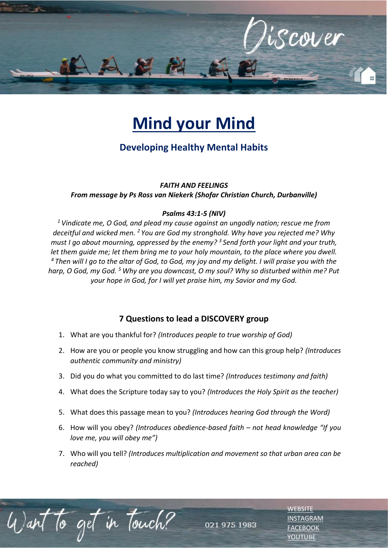

# **Mind your Mind**

## **Developing Healthy Mental Habits**

#### *FAITH AND FEELINGS*

#### *From message by Ps Ross van Niekerk (Shofar Christian Church, Durbanville)*

#### *Psalms 43:1-5 (NIV)*

*<sup>1</sup>Vindicate me, O God, and plead my cause against an ungodly nation; rescue me from deceitful and wicked men. <sup>2</sup>You are God my stronghold. Why have you rejected me? Why must I go about mourning, oppressed by the enemy? <sup>3</sup>Send forth your light and your truth, let them guide me; let them bring me to your holy mountain, to the place where you dwell. <sup>4</sup>Then will I go to the altar of God, to God, my joy and my delight. I will praise you with the harp, O God, my God. <sup>5</sup>Why are you downcast, O my soul? Why so disturbed within me? Put your hope in God, for I will yet praise him, my Savior and my God.* 

### **7 Questions to lead a DISCOVERY group**

- 1. What are you thankful for? *(Introduces people to true worship of God)*
- 2. How are you or people you know struggling and how can this group help? *(Introduces authentic community and ministry)*
- 3. Did you do what you committed to do last time? *(Introduces testimony and faith)*
- 4. What does the Scripture today say to you? *(Introduces the Holy Spirit as the teacher)*
- 5. What does this passage mean to you? *(Introduces hearing God through the Word)*
- 6. How will you obey? *(Introduces obedience-based faith – not head knowledge "If you love me, you will obey me")*
- 7. Who will you tell? *(Introduces multiplication and movement so that urban area can be reached)*

to get in Touch? 021 975 1983 **[WEBSITE](http://www.escc.co.za/)** [INSTAGRAM](https://www.instagram.com/esccdurbanville/) **[FACEBOOK](https://www.facebook.com/escc.za)** [YOUTUBE](https://www.youtube.com/c/ESCCDurbanvilleV)